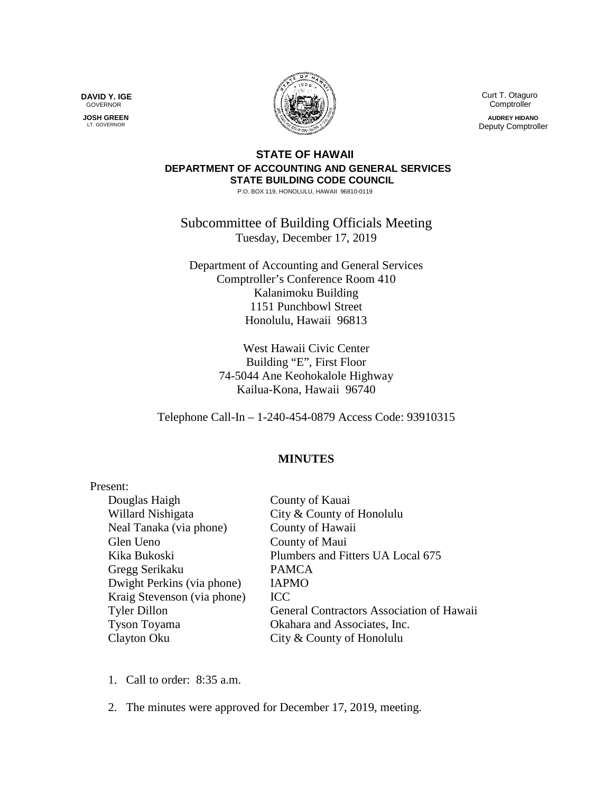**DAVID Y. IGE** GOVERNOR

 **JOSH GREEN** LT. GOVERNOR



 Curt T. Otaguro **Comptroller** 

**AUDREY HIDANO** Deputy Comptroller

## **STATE OF HAWAII DEPARTMENT OF ACCOUNTING AND GENERAL SERVICES STATE BUILDING CODE COUNCIL**

P.O. BOX 119, HONOLULU, HAWAII 96810-0119

Subcommittee of Building Officials Meeting Tuesday, December 17, 2019

Department of Accounting and General Services Comptroller's Conference Room 410 Kalanimoku Building 1151 Punchbowl Street Honolulu, Hawaii 96813

> West Hawaii Civic Center Building "E", First Floor 74-5044 Ane Keohokalole Highway Kailua-Kona, Hawaii 96740

Telephone Call-In – 1-240-454-0879 Access Code: 93910315

## **MINUTES**

| Present:                    |                                           |
|-----------------------------|-------------------------------------------|
| Douglas Haigh               | County of Kauai                           |
| Willard Nishigata           | City & County of Honolulu                 |
| Neal Tanaka (via phone)     | County of Hawaii                          |
| Glen Ueno                   | County of Maui                            |
| Kika Bukoski                | Plumbers and Fitters UA Local 675         |
| Gregg Serikaku              | <b>PAMCA</b>                              |
| Dwight Perkins (via phone)  | <b>IAPMO</b>                              |
| Kraig Stevenson (via phone) | <b>ICC</b>                                |
| <b>Tyler Dillon</b>         | General Contractors Association of Hawaii |
| Tyson Toyama                | Okahara and Associates, Inc.              |
| Clayton Oku                 | City & County of Honolulu                 |

- 1. Call to order: 8:35 a.m.
- 2. The minutes were approved for December 17, 2019, meeting.